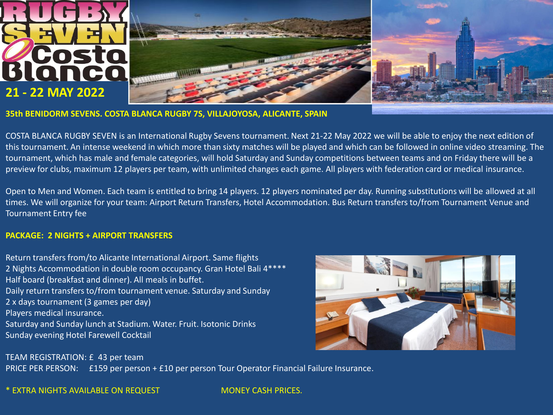



**35th BENIDORM SEVENS. COSTA BLANCA RUGBY 7S, VILLAJOYOSA, ALICANTE, SPAIN**

COSTA BLANCA RUGBY SEVEN is an International Rugby Sevens tournament. Next 21-22 May 2022 we will be able to enjoy the next edition of this tournament. An intense weekend in which more than sixty matches will be played and which can be followed in online video streaming. The tournament, which has male and female categories, will hold Saturday and Sunday competitions between teams and on Friday there will be a preview for clubs, maximum 12 players per team, with unlimited changes each game. All players with federation card or medical insurance.

Open to Men and Women. Each team is entitled to bring 14 players. 12 players nominated per day. Running substitutions will be allowed at all times. We will organize for your team: Airport Return Transfers, Hotel Accommodation. Bus Return transfers to/from Tournament Venue and Tournament Entry fee

#### **PACKAGE: 2 NIGHTS + AIRPORT TRANSFERS**

Return transfers from/to Alicante International Airport. Same flights 2 Nights Accommodation in double room occupancy. Gran Hotel Bali 4\*\*\*\* Half board (breakfast and dinner). All meals in buffet. Daily return transfers to/from tournament venue. Saturday and Sunday 2 x days tournament (3 games per day) Players medical insurance. Saturday and Sunday lunch at Stadium. Water. Fruit. Isotonic Drinks Sunday evening Hotel Farewell Cocktail



TEAM REGISTRATION: £ 43 per team PRICE PER PERSON: £159 per person + £10 per person Tour Operator Financial Failure Insurance.

\* EXTRA NIGHTS AVAILABLE ON REQUEST MONEY CASH PRICES.